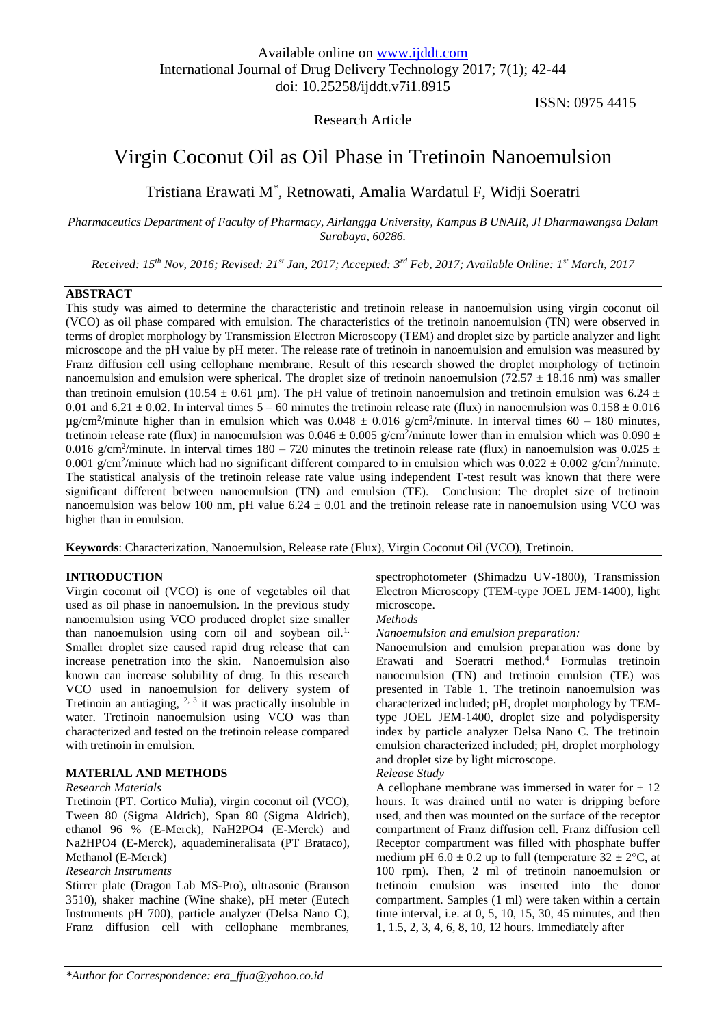Research Article

ISSN: 0975 4415

# Virgin Coconut Oil as Oil Phase in Tretinoin Nanoemulsion

Tristiana Erawati M\* , Retnowati, Amalia Wardatul F, Widji Soeratri

*Pharmaceutics Department of Faculty of Pharmacy, Airlangga University, Kampus B UNAIR, Jl Dharmawangsa Dalam Surabaya, 60286.*

*Received: 15th Nov, 2016; Revised: 21st Jan, 2017; Accepted: 3rd Feb, 2017; Available Online: 1st March, 2017*

# **ABSTRACT**

This study was aimed to determine the characteristic and tretinoin release in nanoemulsion using virgin coconut oil (VCO) as oil phase compared with emulsion. The characteristics of the tretinoin nanoemulsion (TN) were observed in terms of droplet morphology by Transmission Electron Microscopy (TEM) and droplet size by particle analyzer and light microscope and the pH value by pH meter. The release rate of tretinoin in nanoemulsion and emulsion was measured by Franz diffusion cell using cellophane membrane. Result of this research showed the droplet morphology of tretinoin nanoemulsion and emulsion were spherical. The droplet size of tretinoin nanoemulsion (72.57  $\pm$  18.16 nm) was smaller than tretinoin emulsion (10.54  $\pm$  0.61 µm). The pH value of tretinoin nanoemulsion and tretinoin emulsion was 6.24  $\pm$ 0.01 and 6.21  $\pm$  0.02. In interval times 5 – 60 minutes the tretinoin release rate (flux) in nanoemulsion was 0.158  $\pm$  0.016  $\mu$ g/cm<sup>2</sup>/minute higher than in emulsion which was  $0.048 \pm 0.016$  g/cm<sup>2</sup>/minute. In interval times 60 – 180 minutes, tretinoin release rate (flux) in nanoemulsion was  $0.046 \pm 0.005$  g/cm<sup>2</sup>/minute lower than in emulsion which was  $0.090 \pm 0.005$ 0.016 g/cm<sup>2</sup>/minute. In interval times 180 – 720 minutes the tretinoin release rate (flux) in nanoemulsion was 0.025  $\pm$ 0.001 g/cm<sup>2</sup>/minute which had no significant different compared to in emulsion which was  $0.022 \pm 0.002$  g/cm<sup>2</sup>/minute. The statistical analysis of the tretinoin release rate value using independent T-test result was known that there were significant different between nanoemulsion (TN) and emulsion (TE). Conclusion: The droplet size of tretinoin nanoemulsion was below 100 nm, pH value  $6.24 \pm 0.01$  and the tretinoin release rate in nanoemulsion using VCO was higher than in emulsion.

**Keywords**: Characterization, Nanoemulsion, Release rate (Flux), Virgin Coconut Oil (VCO), Tretinoin.

## **INTRODUCTION**

Virgin coconut oil (VCO) is one of vegetables oil that used as oil phase in nanoemulsion. In the previous study nanoemulsion using VCO produced droplet size smaller than nanoemulsion using corn oil and soybean oil. $<sup>1</sup>$ .</sup> Smaller droplet size caused rapid drug release that can increase penetration into the skin. Nanoemulsion also known can increase solubility of drug. In this research VCO used in nanoemulsion for delivery system of Tretinoin an antiaging,  $2, 3$  it was practically insoluble in water. Tretinoin nanoemulsion using VCO was than characterized and tested on the tretinoin release compared with tretinoin in emulsion.

#### **MATERIAL AND METHODS**

#### *Research Materials*

Tretinoin (PT. Cortico Mulia), virgin coconut oil (VCO), Tween 80 (Sigma Aldrich), Span 80 (Sigma Aldrich), ethanol 96 % (E-Merck), NaH2PO4 (E-Merck) and Na2HPO4 (E-Merck), aquademineralisata (PT Brataco), Methanol (E-Merck)

## *Research Instruments*

Stirrer plate (Dragon Lab MS-Pro), ultrasonic (Branson 3510), shaker machine (Wine shake), pH meter (Eutech Instruments pH 700), particle analyzer (Delsa Nano C), Franz diffusion cell with cellophane membranes, spectrophotometer (Shimadzu UV-1800), Transmission Electron Microscopy (TEM-type JOEL JEM-1400), light microscope.

# *Methods*

*Nanoemulsion and emulsion preparation:*

Nanoemulsion and emulsion preparation was done by Erawati and Soeratri method.<sup>4</sup> Formulas tretinoin nanoemulsion (TN) and tretinoin emulsion (TE) was presented in Table 1. The tretinoin nanoemulsion was characterized included; pH, droplet morphology by TEMtype JOEL JEM-1400, droplet size and polydispersity index by particle analyzer Delsa Nano C. The tretinoin emulsion characterized included; pH, droplet morphology and droplet size by light microscope.

#### *Release Study*

A cellophane membrane was immersed in water for  $\pm$  12 hours. It was drained until no water is dripping before used, and then was mounted on the surface of the receptor compartment of Franz diffusion cell. Franz diffusion cell Receptor compartment was filled with phosphate buffer medium pH  $6.0 \pm 0.2$  up to full (temperature  $32 \pm 2$ °C, at 100 rpm). Then, 2 ml of tretinoin nanoemulsion or tretinoin emulsion was inserted into the donor compartment. Samples (1 ml) were taken within a certain time interval, i.e. at 0, 5, 10, 15, 30, 45 minutes, and then 1, 1.5, 2, 3, 4, 6, 8, 10, 12 hours. Immediately after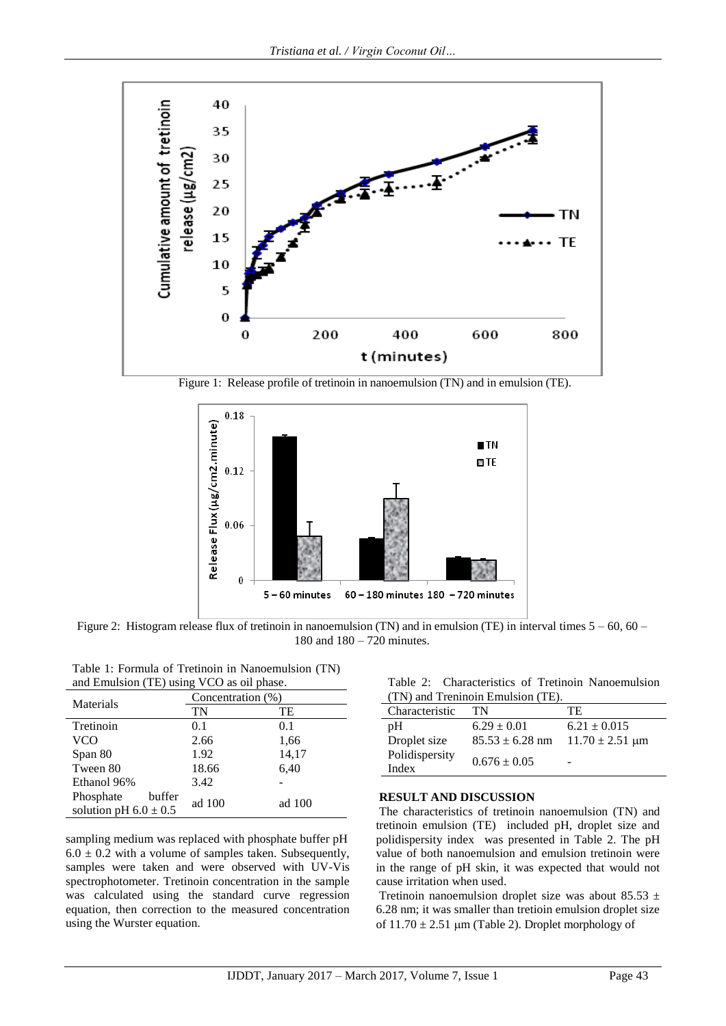

Figure 1: Release profile of tretinoin in nanoemulsion (TN) and in emulsion (TE).



Figure 2: Histogram release flux of tretinoin in nanoemulsion (TN) and in emulsion (TE) in interval times  $5 - 60$ ,  $60 -$ 180 and 180 – 720 minutes.

Table 1: Formula of Tretinoin in Nanoemulsion (TN) and Emulsion (TE) using VCO as oil phase.

|                                                  | Concentration (%) |        |  |
|--------------------------------------------------|-------------------|--------|--|
| Materials                                        | TN                | TE     |  |
| Tretinoin                                        | 0.1               | 0.1    |  |
| <b>VCO</b>                                       | 2.66              | 1,66   |  |
| Span 80                                          | 1.92              | 14,17  |  |
| Tween 80                                         | 18.66             | 6,40   |  |
| Ethanol 96%                                      | 3.42              |        |  |
| Phosphate<br>buffer<br>solution pH $6.0 \pm 0.5$ | ad 100            | ad 100 |  |

sampling medium was replaced with phosphate buffer pH  $6.0 \pm 0.2$  with a volume of samples taken. Subsequently, samples were taken and were observed with UV-Vis spectrophotometer. Tretinoin concentration in the sample was calculated using the standard curve regression equation, then correction to the measured concentration using the Wurster equation.

Table 2: Characteristics of Tretinoin Nanoemulsion (TN) and Treninoin Emulsion (TE).

| $(11)$ and Tremmond Emulsion (TE). |                     |                     |  |  |
|------------------------------------|---------------------|---------------------|--|--|
| Characteristic                     | TN                  | TE.                 |  |  |
| pH                                 | $6.29 \pm 0.01$     | $6.21 \pm 0.015$    |  |  |
| Droplet size                       | $85.53 \pm 6.28$ nm | $11.70 \pm 2.51$ um |  |  |
| Polidispersity                     | $0.676 \pm 0.05$    |                     |  |  |
| Index                              |                     |                     |  |  |

# **RESULT AND DISCUSSION**

The characteristics of tretinoin nanoemulsion (TN) and tretinoin emulsion (TE) included pH, droplet size and polidispersity index was presented in Table 2. The pH value of both nanoemulsion and emulsion tretinoin were in the range of pH skin, it was expected that would not cause irritation when used.

Tretinoin nanoemulsion droplet size was about 85.53  $\pm$ 6.28 nm; it was smaller than tretioin emulsion droplet size of  $11.70 \pm 2.51$  µm (Table 2). Droplet morphology of